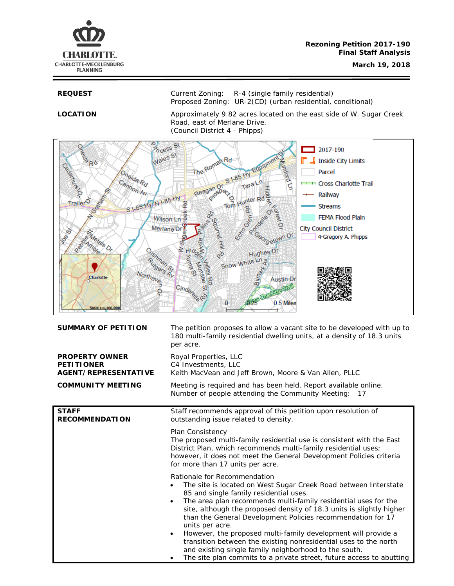

**REQUEST** Current Zoning: R-4 (single family residential) Proposed Zoning: UR-2(CD) (urban residential, conditional)

**LOCATION** Approximately 9.82 acres located on the east side of W. Sugar Creek Road, east of Merlane Drive. (Council District 4 - Phipps)



| <b>SUMMARY OF PETITION</b>                                                | The petition proposes to allow a vacant site to be developed with up to<br>180 multi-family residential dwelling units, at a density of 18.3 units<br>per acre.                                                                                                                                                                                                                                                                                                                                                                                                                                                                                                       |  |
|---------------------------------------------------------------------------|-----------------------------------------------------------------------------------------------------------------------------------------------------------------------------------------------------------------------------------------------------------------------------------------------------------------------------------------------------------------------------------------------------------------------------------------------------------------------------------------------------------------------------------------------------------------------------------------------------------------------------------------------------------------------|--|
| <b>PROPERTY OWNER</b><br><b>PETITIONER</b><br><b>AGENT/REPRESENTATIVE</b> | Royal Properties, LLC<br>C4 Investments, LLC<br>Keith MacVean and Jeff Brown, Moore & Van Allen, PLLC                                                                                                                                                                                                                                                                                                                                                                                                                                                                                                                                                                 |  |
| <b>COMMUNITY MEETING</b>                                                  | Meeting is required and has been held. Report available online.<br>Number of people attending the Community Meeting:<br>17                                                                                                                                                                                                                                                                                                                                                                                                                                                                                                                                            |  |
| <b>STAFF</b><br><b>RECOMMENDATION</b>                                     | Staff recommends approval of this petition upon resolution of<br>outstanding issue related to density.<br>Plan Consistency<br>The proposed multi-family residential use is consistent with the East<br>District Plan, which recommends multi-family residential uses;<br>however, it does not meet the General Development Policies criteria<br>for more than 17 units per acre.                                                                                                                                                                                                                                                                                      |  |
|                                                                           |                                                                                                                                                                                                                                                                                                                                                                                                                                                                                                                                                                                                                                                                       |  |
|                                                                           | Rationale for Recommendation<br>The site is located on West Sugar Creek Road between Interstate<br>85 and single family residential uses.<br>The area plan recommends multi-family residential uses for the<br>$\bullet$<br>site, although the proposed density of 18.3 units is slightly higher<br>than the General Development Policies recommendation for 17<br>units per acre.<br>However, the proposed multi-family development will provide a<br>$\bullet$<br>transition between the existing nonresidential uses to the north<br>and existing single family neighborhood to the south.<br>The site plan commits to a private street, future access to abutting |  |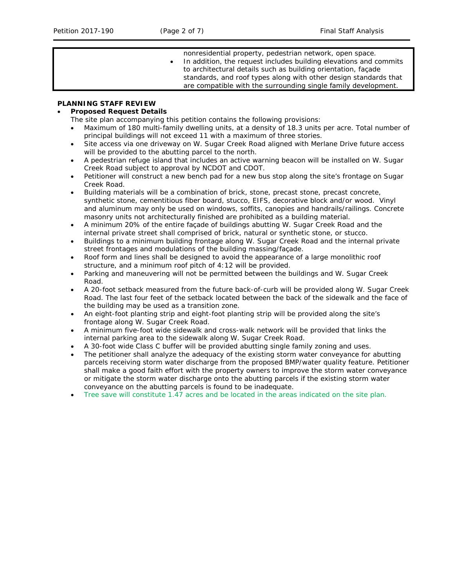nonresidential property, pedestrian network, open space. In addition, the request includes building elevations and commits to architectural details such as building orientation, façade standards, and roof types along with other design standards that are compatible with the surrounding single family development.

# **PLANNING STAFF REVIEW**

# • **Proposed Request Details**

The site plan accompanying this petition contains the following provisions:

- Maximum of 180 multi-family dwelling units, at a density of 18.3 units per acre. Total number of principal buildings will not exceed 11 with a maximum of three stories.
- Site access via one driveway on W. Sugar Creek Road aligned with Merlane Drive future access will be provided to the abutting parcel to the north.
- A pedestrian refuge island that includes an active warning beacon will be installed on W. Sugar Creek Road subject to approval by NCDOT and CDOT.
- Petitioner will construct a new bench pad for a new bus stop along the site's frontage on Sugar Creek Road.
- Building materials will be a combination of brick, stone, precast stone, precast concrete, synthetic stone, cementitious fiber board, stucco, EIFS, decorative block and/or wood. Vinyl and aluminum may only be used on windows, soffits, canopies and handrails/railings. Concrete masonry units not architecturally finished are prohibited as a building material.
- A minimum 20% of the entire façade of buildings abutting W. Sugar Creek Road and the internal private street shall comprised of brick, natural or synthetic stone, or stucco.
- Buildings to a minimum building frontage along W. Sugar Creek Road and the internal private street frontages and modulations of the building massing/façade.
- Roof form and lines shall be designed to avoid the appearance of a large monolithic roof structure, and a minimum roof pitch of 4:12 will be provided.
- Parking and maneuvering will not be permitted between the buildings and W. Sugar Creek Road.
- A 20-foot setback measured from the future back-of-curb will be provided along W. Sugar Creek Road. The last four feet of the setback located between the back of the sidewalk and the face of the building may be used as a transition zone.
- An eight-foot planting strip and eight-foot planting strip will be provided along the site's frontage along W. Sugar Creek Road.
- A minimum five-foot wide sidewalk and cross-walk network will be provided that links the internal parking area to the sidewalk along W. Sugar Creek Road.
- A 30-foot wide Class C buffer will be provided abutting single family zoning and uses.
- The petitioner shall analyze the adequacy of the existing storm water conveyance for abutting parcels receiving storm water discharge from the proposed BMP/water quality feature. Petitioner shall make a good faith effort with the property owners to improve the storm water conveyance or mitigate the storm water discharge onto the abutting parcels if the existing storm water conveyance on the abutting parcels is found to be inadequate.
- Tree save will constitute 1.47 acres and be located in the areas indicated on the site plan.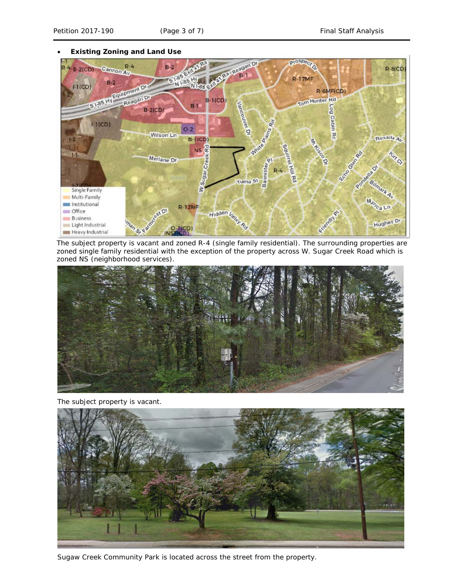#### • **Existing Zoning and Land Use**



The subject property is vacant and zoned R-4 (single family residential). The surrounding properties are zoned single family residential with the exception of the property across W. Sugar Creek Road which is zoned NS (neighborhood services).



The subject property is vacant.



Sugaw Creek Community Park is located across the street from the property.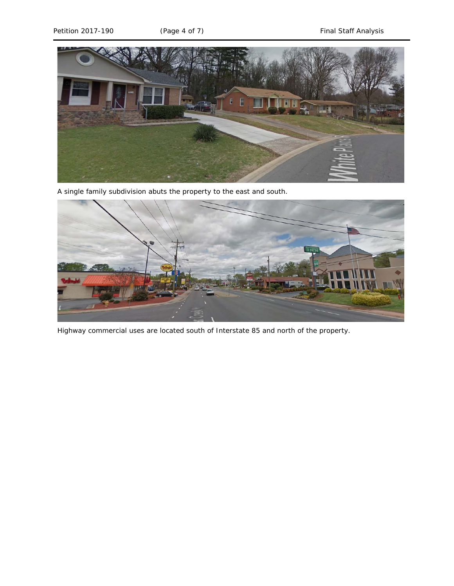

A single family subdivision abuts the property to the east and south.



Highway commercial uses are located south of Interstate 85 and north of the property.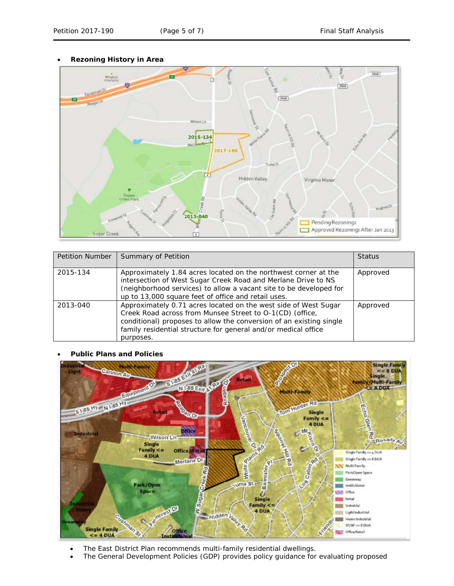• **Rezoning History in Area**



| <b>Petition Number</b> | Summary of Petition                                                                                                                                                                                                                                                               | <b>Status</b> |
|------------------------|-----------------------------------------------------------------------------------------------------------------------------------------------------------------------------------------------------------------------------------------------------------------------------------|---------------|
| 2015-134               | Approximately 1.84 acres located on the northwest corner at the<br>intersection of West Sugar Creek Road and Merlane Drive to NS<br>(neighborhood services) to allow a vacant site to be developed for<br>up to 13,000 square feet of office and retail uses.                     | Approved      |
| 2013-040               | Approximately 0.71 acres located on the west side of West Sugar<br>Creek Road across from Munsee Street to O-1(CD) (office,<br>conditional) proposes to allow the conversion of an existing single<br>family residential structure for general and/or medical office<br>purposes. | Approved      |

## • **Public Plans and Policies**



- The *East District Plan* recommends multi-family residential dwellings.
- The *General Development Policies* (GDP) provides policy guidance for evaluating proposed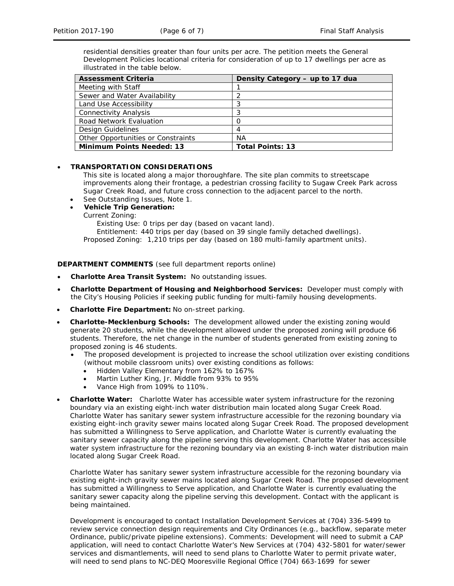residential densities greater than four units per acre. The petition meets the *General Development Policies* locational criteria for consideration of up to 17 dwellings per acre as illustrated in the table below.

| <b>Assessment Criteria</b>         | Density Category - up to 17 dua |
|------------------------------------|---------------------------------|
| Meeting with Staff                 |                                 |
| Sewer and Water Availability       |                                 |
| Land Use Accessibility             | 3                               |
| <b>Connectivity Analysis</b>       | 3                               |
| Road Network Evaluation            |                                 |
| Design Guidelines                  | 4                               |
| Other Opportunities or Constraints | <b>NA</b>                       |
| <b>Minimum Points Needed: 13</b>   | <b>Total Points: 13</b>         |

# • **TRANSPORTATION CONSIDERATIONS**

This site is located along a major thoroughfare. The site plan commits to streetscape improvements along their frontage, a pedestrian crossing facility to Sugaw Creek Park across Sugar Creek Road, and future cross connection to the adjacent parcel to the north.

- See Outstanding Issues, Note 1.
- **Vehicle Trip Generation:**
	- Current Zoning:

Existing Use: 0 trips per day (based on vacant land).

Entitlement: 440 trips per day (based on 39 single family detached dwellings). Proposed Zoning: 1,210 trips per day (based on 180 multi-family apartment units).

**DEPARTMENT COMMENTS** (see full department reports online)

- **Charlotte Area Transit System:** No outstanding issues.
- **Charlotte Department of Housing and Neighborhood Services:** Developer must comply with the City's Housing Policies if seeking public funding for multi-family housing developments.
- **Charlotte Fire Department:** No on-street parking.
- **Charlotte-Mecklenburg Schools:** The development allowed under the existing zoning would generate 20 students, while the development allowed under the proposed zoning will produce 66 students. Therefore, the net change in the number of students generated from existing zoning to proposed zoning is 46 students.
	- The proposed development is projected to increase the school utilization over existing conditions (without mobile classroom units) over existing conditions as follows:
		- Hidden Valley Elementary from 162% to 167%
		- Martin Luther King, Jr. Middle from 93% to 95%
		- Vance High from 109% to 110%.
- **Charlotte Water:** Charlotte Water has accessible water system infrastructure for the rezoning boundary via an existing eight-inch water distribution main located along Sugar Creek Road. Charlotte Water has sanitary sewer system infrastructure accessible for the rezoning boundary via existing eight-inch gravity sewer mains located along Sugar Creek Road. The proposed development has submitted a Willingness to Serve application, and Charlotte Water is currently evaluating the sanitary sewer capacity along the pipeline serving this development. Charlotte Water has accessible water system infrastructure for the rezoning boundary via an existing 8-inch water distribution main located along Sugar Creek Road.

Charlotte Water has sanitary sewer system infrastructure accessible for the rezoning boundary via existing eight-inch gravity sewer mains located along Sugar Creek Road. The proposed development has submitted a Willingness to Serve application, and Charlotte Water is currently evaluating the sanitary sewer capacity along the pipeline serving this development. Contact with the applicant is being maintained.

Development is encouraged to contact Installation Development Services at (704) 336-5499 to review service connection design requirements and City Ordinances (e.g., backflow, separate meter Ordinance, public/private pipeline extensions). Comments: Development will need to submit a CAP application, will need to contact Charlotte Water's New Services at (704) 432-5801 for water/sewer services and dismantlements, will need to send plans to Charlotte Water to permit private water, will need to send plans to NC-DEQ Mooresville Regional Office (704) 663-1699 for sewer